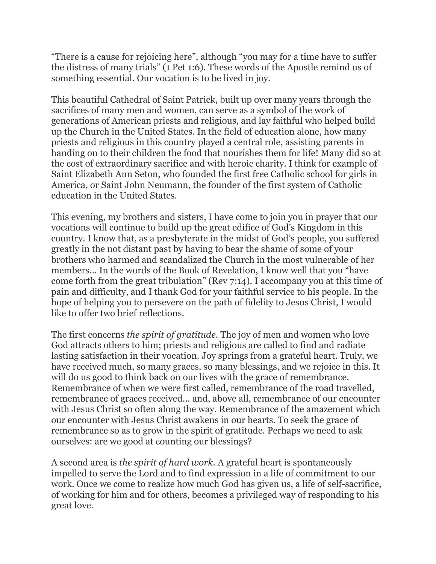"There is a cause for rejoicing here", although "you may for a time have to suffer the distress of many trials" (1 Pet 1:6). These words of the Apostle remind us of something essential. Our vocation is to be lived in joy.

This beautiful Cathedral of Saint Patrick, built up over many years through the sacrifices of many men and women, can serve as a symbol of the work of generations of American priests and religious, and lay faithful who helped build up the Church in the United States. In the field of education alone, how many priests and religious in this country played a central role, assisting parents in handing on to their children the food that nourishes them for life! Many did so at the cost of extraordinary sacrifice and with heroic charity. I think for example of Saint Elizabeth Ann Seton, who founded the first free Catholic school for girls in America, or Saint John Neumann, the founder of the first system of Catholic education in the United States.

This evening, my brothers and sisters, I have come to join you in prayer that our vocations will continue to build up the great edifice of God's Kingdom in this country. I know that, as a presbyterate in the midst of God's people, you suffered greatly in the not distant past by having to bear the shame of some of your brothers who harmed and scandalized the Church in the most vulnerable of her members... In the words of the Book of Revelation, I know well that you "have come forth from the great tribulation" (Rev 7:14). I accompany you at this time of pain and difficulty, and I thank God for your faithful service to his people. In the hope of helping you to persevere on the path of fidelity to Jesus Christ, I would like to offer two brief reflections.

The first concerns *the spirit of gratitude.* The joy of men and women who love God attracts others to him; priests and religious are called to find and radiate lasting satisfaction in their vocation. Joy springs from a grateful heart. Truly, we have received much, so many graces, so many blessings, and we rejoice in this. It will do us good to think back on our lives with the grace of remembrance. Remembrance of when we were first called, remembrance of the road travelled, remembrance of graces received... and, above all, remembrance of our encounter with Jesus Christ so often along the way. Remembrance of the amazement which our encounter with Jesus Christ awakens in our hearts. To seek the grace of remembrance so as to grow in the spirit of gratitude. Perhaps we need to ask ourselves: are we good at counting our blessings?

A second area is *the spirit of hard work.* A grateful heart is spontaneously impelled to serve the Lord and to find expression in a life of commitment to our work. Once we come to realize how much God has given us, a life of self-sacrifice, of working for him and for others, becomes a privileged way of responding to his great love.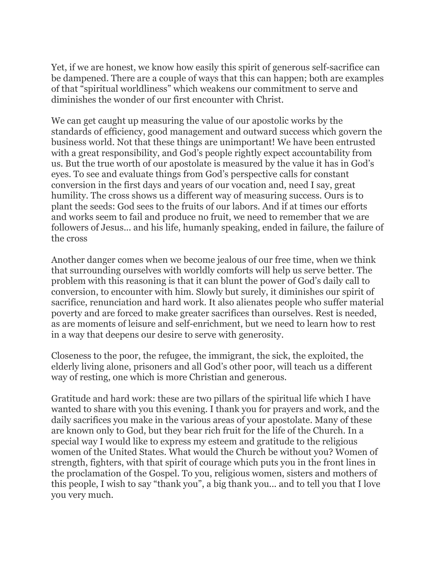Yet, if we are honest, we know how easily this spirit of generous self-sacrifice can be dampened. There are a couple of ways that this can happen; both are examples of that "spiritual worldliness" which weakens our commitment to serve and diminishes the wonder of our first encounter with Christ.

We can get caught up measuring the value of our apostolic works by the standards of efficiency, good management and outward success which govern the business world. Not that these things are unimportant! We have been entrusted with a great responsibility, and God's people rightly expect accountability from us. But the true worth of our apostolate is measured by the value it has in God's eyes. To see and evaluate things from God's perspective calls for constant conversion in the first days and years of our vocation and, need I say, great humility. The cross shows us a different way of measuring success. Ours is to plant the seeds: God sees to the fruits of our labors. And if at times our efforts and works seem to fail and produce no fruit, we need to remember that we are followers of Jesus... and his life, humanly speaking, ended in failure, the failure of the cross

Another danger comes when we become jealous of our free time, when we think that surrounding ourselves with worldly comforts will help us serve better. The problem with this reasoning is that it can blunt the power of God's daily call to conversion, to encounter with him. Slowly but surely, it diminishes our spirit of sacrifice, renunciation and hard work. It also alienates people who suffer material poverty and are forced to make greater sacrifices than ourselves. Rest is needed, as are moments of leisure and self-enrichment, but we need to learn how to rest in a way that deepens our desire to serve with generosity.

Closeness to the poor, the refugee, the immigrant, the sick, the exploited, the elderly living alone, prisoners and all God's other poor, will teach us a different way of resting, one which is more Christian and generous.

Gratitude and hard work: these are two pillars of the spiritual life which I have wanted to share with you this evening. I thank you for prayers and work, and the daily sacrifices you make in the various areas of your apostolate. Many of these are known only to God, but they bear rich fruit for the life of the Church. In a special way I would like to express my esteem and gratitude to the religious women of the United States. What would the Church be without you? Women of strength, fighters, with that spirit of courage which puts you in the front lines in the proclamation of the Gospel. To you, religious women, sisters and mothers of this people, I wish to say "thank you", a big thank you... and to tell you that I love you very much.